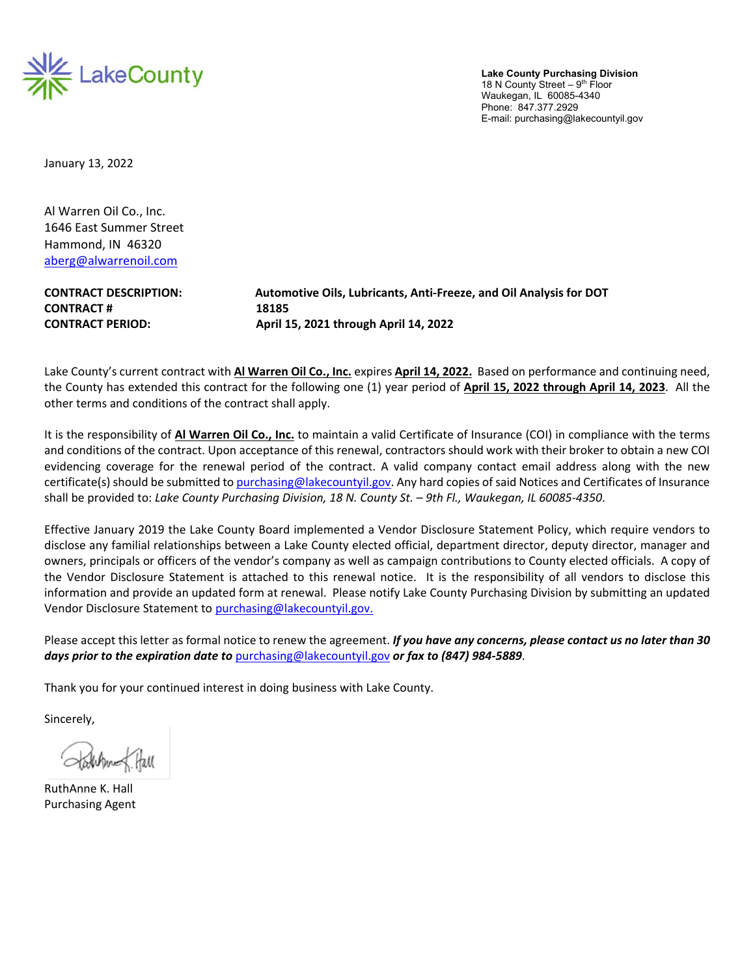

**Lake County Purchasing Division** 18 N County Street –  $9<sup>th</sup>$  Floor Waukegan, IL 60085-4340 Phone: 847.377.2929 E-mail: purchasing@lakecountyil.gov

January 13, 2022

Al Warren Oil Co., Inc. 1646 East Summer Street Hammond, IN 46320 aberg@alwarrenoil.com

**CONTRACT # 18185** 

**CONTRACT DESCRIPTION: Automotive Oils, Lubricants, Anti‐Freeze, and Oil Analysis for DOT CONTRACT PERIOD: April 15, 2021 through April 14, 2022** 

Lake County's current contract with **Al Warren Oil Co., Inc.** expires **April 14, 2022.** Based on performance and continuing need, the County has extended this contract for the following one (1) year period of **April 15, 2022 through April 14, 2023**. All the other terms and conditions of the contract shall apply.

It is the responsibility of **Al Warren Oil Co., Inc.** to maintain a valid Certificate of Insurance (COI) in compliance with the terms and conditions of the contract. Upon acceptance of this renewal, contractors should work with their broker to obtain a new COI evidencing coverage for the renewal period of the contract. A valid company contact email address along with the new certificate(s) should be submitted to purchasing@lakecountyil.gov. Any hard copies of said Notices and Certificates of Insurance shall be provided to: *Lake County Purchasing Division, 18 N. County St. – 9th Fl., Waukegan, IL 60085‐4350*.

Effective January 2019 the Lake County Board implemented a Vendor Disclosure Statement Policy, which require vendors to disclose any familial relationships between a Lake County elected official, department director, deputy director, manager and owners, principals or officers of the vendor's company as well as campaign contributions to County elected officials. A copy of the Vendor Disclosure Statement is attached to this renewal notice. It is the responsibility of all vendors to disclose this information and provide an updated form at renewal. Please notify Lake County Purchasing Division by submitting an updated Vendor Disclosure Statement to purchasing@lakecountyil.gov.

Please accept this letter as formal notice to renew the agreement. *If you have any concerns, please contact us no later than 30 days prior to the expiration date to* purchasing@lakecountyil.gov *or fax to (847) 984‐5889*.

Thank you for your continued interest in doing business with Lake County.

Sincerely,

 $\mathbf{r}$  and  $\mathbf{r}$  and  $\mathbf{r}$  and  $\mathbf{r}$ 

RuthAnne K. Hall Purchasing Agent